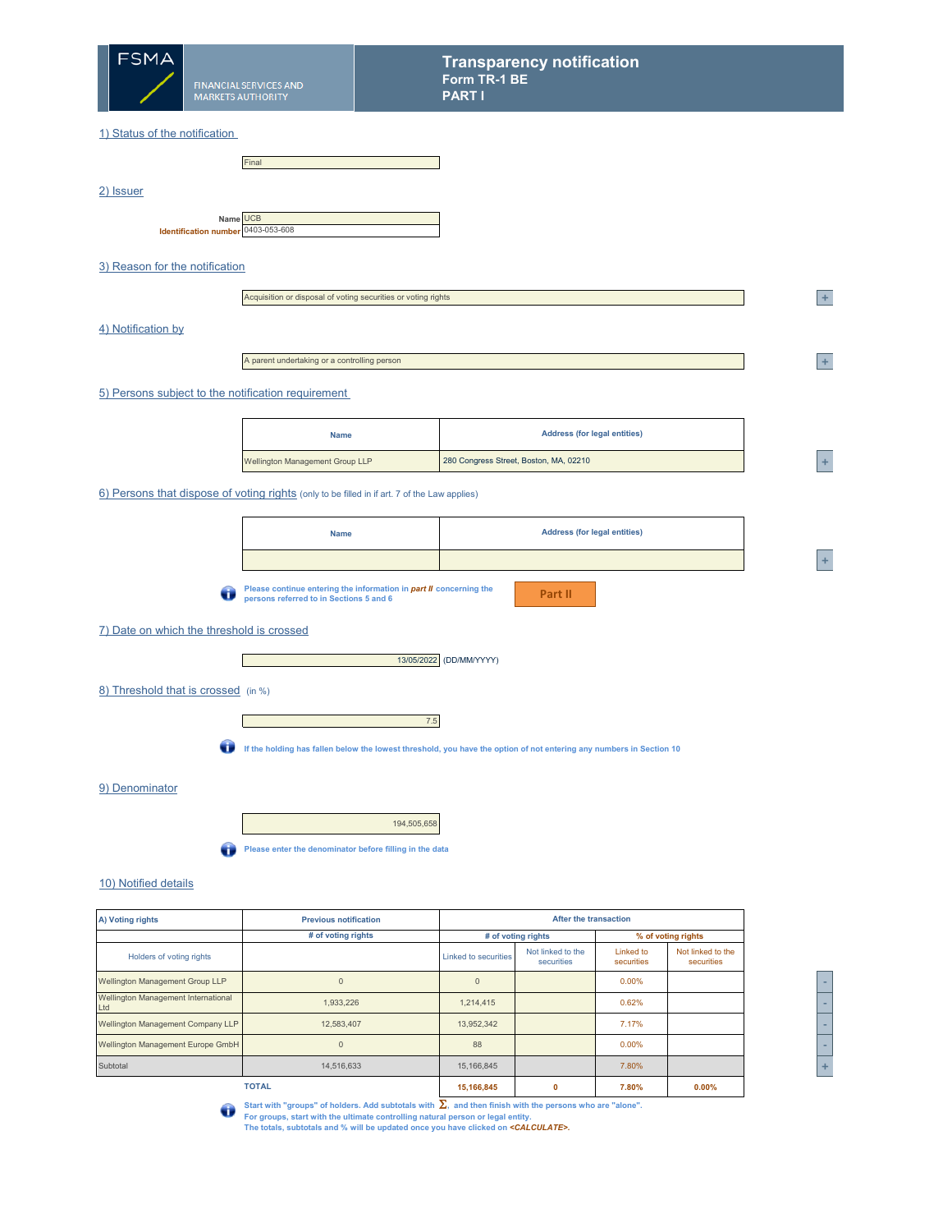

2) Issuer

#### 1) Status of the notification

|                                                | Final |
|------------------------------------------------|-------|
|                                                |       |
|                                                |       |
|                                                |       |
|                                                |       |
| Name UCB<br>Identification number 0403-053-608 |       |
|                                                |       |

## 3) Reason for the notification

|                    | Acquisition or disposal of voting securities or voting rights | $\pm$          |
|--------------------|---------------------------------------------------------------|----------------|
| 4) Notification by |                                                               |                |
|                    | A parent undertaking or a controlling person                  | $\overline{+}$ |
|                    | 5) Persons subject to the notification requirement            |                |

| <b>Name</b>                            | <b>Address (for legal entities)</b>    |   |
|----------------------------------------|----------------------------------------|---|
| <b>Wellington Management Group LLP</b> | 280 Congress Street, Boston, MA, 02210 | - |

6) Persons that dispose of voting rights (only to be filled in if art. 7 of the Law applies)

| <b>Name</b> | <b>Address (for legal entities)</b> |
|-------------|-------------------------------------|
|             |                                     |

**Part II**

 $\bigodot$ **Please continue entering the information in** *part II* **concerning the persons referred to in Sections 5 and 6**

### 7) Date on which the threshold is crossed

Г



8) Threshold that is crossed (in %)

7.5

**If the holding has fallen below the lowest threshold, you have the option of not entering any numbers in Section 10** O

## 9) Denominator

194,505,658



# 10) Notified details

| A) Voting rights                           | <b>Previous notification</b> |                      | <b>After the transaction</b>    |                         |                                 |  |  |
|--------------------------------------------|------------------------------|----------------------|---------------------------------|-------------------------|---------------------------------|--|--|
|                                            | # of voting rights           |                      | # of voting rights              |                         | % of voting rights              |  |  |
| Holders of voting rights                   |                              | Linked to securities | Not linked to the<br>securities | Linked to<br>securities | Not linked to the<br>securities |  |  |
| <b>Wellington Management Group LLP</b>     | $\Omega$                     | $\Omega$             |                                 | 0.00%                   |                                 |  |  |
| Wellington Management International<br>Ltd | 1,933,226                    | 1,214,415            |                                 | 0.62%                   |                                 |  |  |
| <b>Wellington Management Company LLP</b>   | 12,583,407                   | 13,952,342           |                                 | 7.17%                   |                                 |  |  |
| <b>Wellington Management Europe GmbH</b>   | $\Omega$                     | 88                   |                                 | 0.00%                   |                                 |  |  |
| Subtotal                                   | 14.516.633                   | 15,166,845           |                                 | 7.80%                   |                                 |  |  |
|                                            | <b>TOTAL</b>                 | 15,166,845           | 0                               | 7.80%                   | 0.00%                           |  |  |

| -           |
|-------------|
| -           |
| -           |
| -           |
| ٠<br>۰<br>w |

**<sup>A</sup> +** 

**Start with "groups" of holders. Add subtotals with** Σ**, and then finish with the persons who are "alone".**   $\bigodot$ **For groups, start with the ultimate controlling natural person or legal entity. The totals, subtotals and % will be updated once you have clicked on** *<CALCULATE>.*